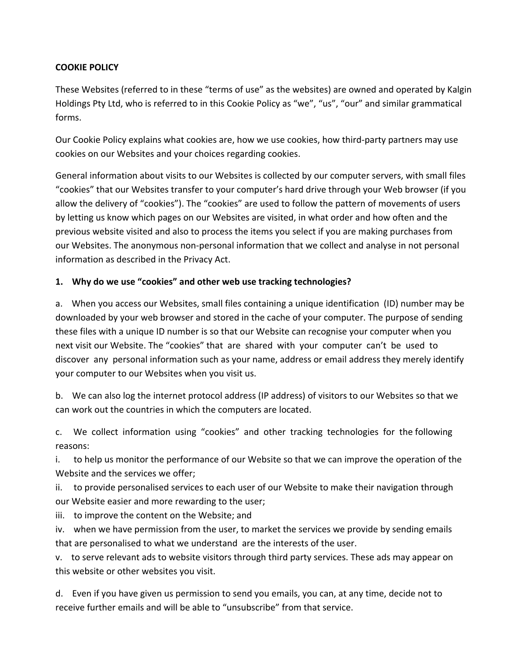## **COOKIE POLICY**

These Websites (referred to in these "terms of use" as the websites) are owned and operated by Kalgin Holdings Pty Ltd, who is referred to in this Cookie Policy as "we", "us", "our" and similar grammatical forms.

Our Cookie Policy explains what cookies are, how we use cookies, how third-party partners may use cookies on our Websites and your choices regarding cookies.

General information about visits to our Websites is collected by our computer servers, with small files "cookies" that our Websites transfer to your computer's hard drive through your Web browser (if you allow the delivery of "cookies"). The "cookies" are used to follow the pattern of movements of users by letting us know which pages on our Websites are visited, in what order and how often and the previous website visited and also to process the items you select if you are making purchases from our Websites. The anonymous non-personal information that we collect and analyse in not personal information as described in the Privacy Act.

## **1. Why do we use "cookies" and other web use tracking technologies?**

a. When you access our Websites, small files containing a unique identification (ID) number may be downloaded by your web browser and stored in the cache of your computer. The purpose of sending these files with a unique ID number is so that our Website can recognise your computer when you next visit our Website. The "cookies" that are shared with your computer can't be used to discover any personal information such as your name, address or email address they merely identify your computer to our Websites when you visit us.

b. We can also log the internet protocol address (IP address) of visitors to our Websites so that we can work out the countries in which the computers are located.

c. We collect information using "cookies" and other tracking technologies for the following reasons:

i. to help us monitor the performance of our Website so that we can improve the operation of the Website and the services we offer;

ii. to provide personalised services to each user of our Website to make their navigation through our Website easier and more rewarding to the user;

iii. to improve the content on the Website; and

iv. when we have permission from the user, to market the services we provide by sending emails that are personalised to what we understand are the interests of the user.

v. to serve relevant ads to website visitors through third party services. These ads may appear on this website or other websites you visit.

d. Even if you have given us permission to send you emails, you can, at any time, decide not to receive further emails and will be able to "unsubscribe" from that service.